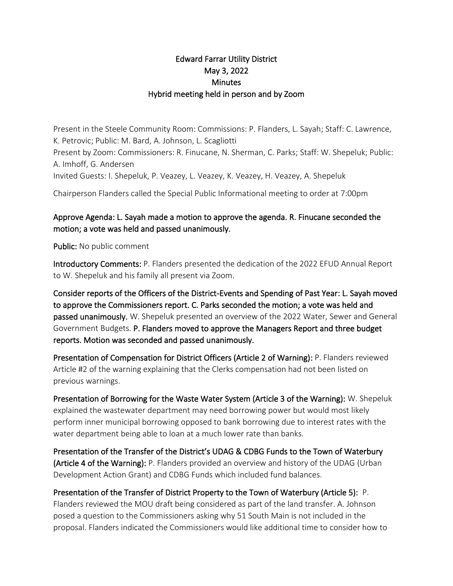## Edward Farrar Utility District May 3, 2022 **Minutes** Hybrid meeting held in person and by Zoom

Present in the Steele Community Room: Commissions: P. Flanders, L. Sayah; Staff: C. Lawrence, K. Petrovic; Public: M. Bard, A. Johnson, L. Scagliotti Present by Zoom: Commissioners: R. Finucane, N. Sherman, C. Parks; Staff: W. Shepeluk; Public: A. Imhoff, G. Andersen Invited Guests: I. Shepeluk, P. Veazey, L. Veazey, K. Veazey, H. Veazey, A. Shepeluk

Chairperson Flanders called the Special Public Informational meeting to order at 7:00pm

## Approve Agenda: L. Sayah made a motion to approve the agenda. R. Finucane seconded the motion; a vote was held and passed unanimously.

Public: No public comment

Introductory Comments: P. Flanders presented the dedication of the 2022 EFUD Annual Report to W. Shepeluk and his family all present via Zoom.

Consider reports of the Officers of the District-Events and Spending of Past Year: L. Sayah moved to approve the Commissioners report. C. Parks seconded the motion; a vote was held and passed unanimously. W. Shepeluk presented an overview of the 2022 Water, Sewer and General Government Budgets. P. Flanders moved to approve the Managers Report and three budget reports. Motion was seconded and passed unanimously.

Presentation of Compensation for District Officers (Article 2 of Warning): P. Flanders reviewed Article #2 of the warning explaining that the Clerks compensation had not been listed on previous warnings.

Presentation of Borrowing for the Waste Water System (Article 3 of the Warning): W. Shepeluk explained the wastewater department may need borrowing power but would most likely perform inner municipal borrowing opposed to bank borrowing due to interest rates with the water department being able to loan at a much lower rate than banks.

Presentation of the Transfer of the District's UDAG & CDBG Funds to the Town of Waterbury (Article 4 of the Warning): P. Flanders provided an overview and history of the UDAG (Urban Development Action Grant) and CDBG Funds which included fund balances.

## Presentation of the Transfer of District Property to the Town of Waterbury (Article 5): P.

Flanders reviewed the MOU draft being considered as part of the land transfer. A. Johnson posed a question to the Commissioners asking why 51 South Main is not included in the proposal. Flanders indicated the Commissioners would like additional time to consider how to